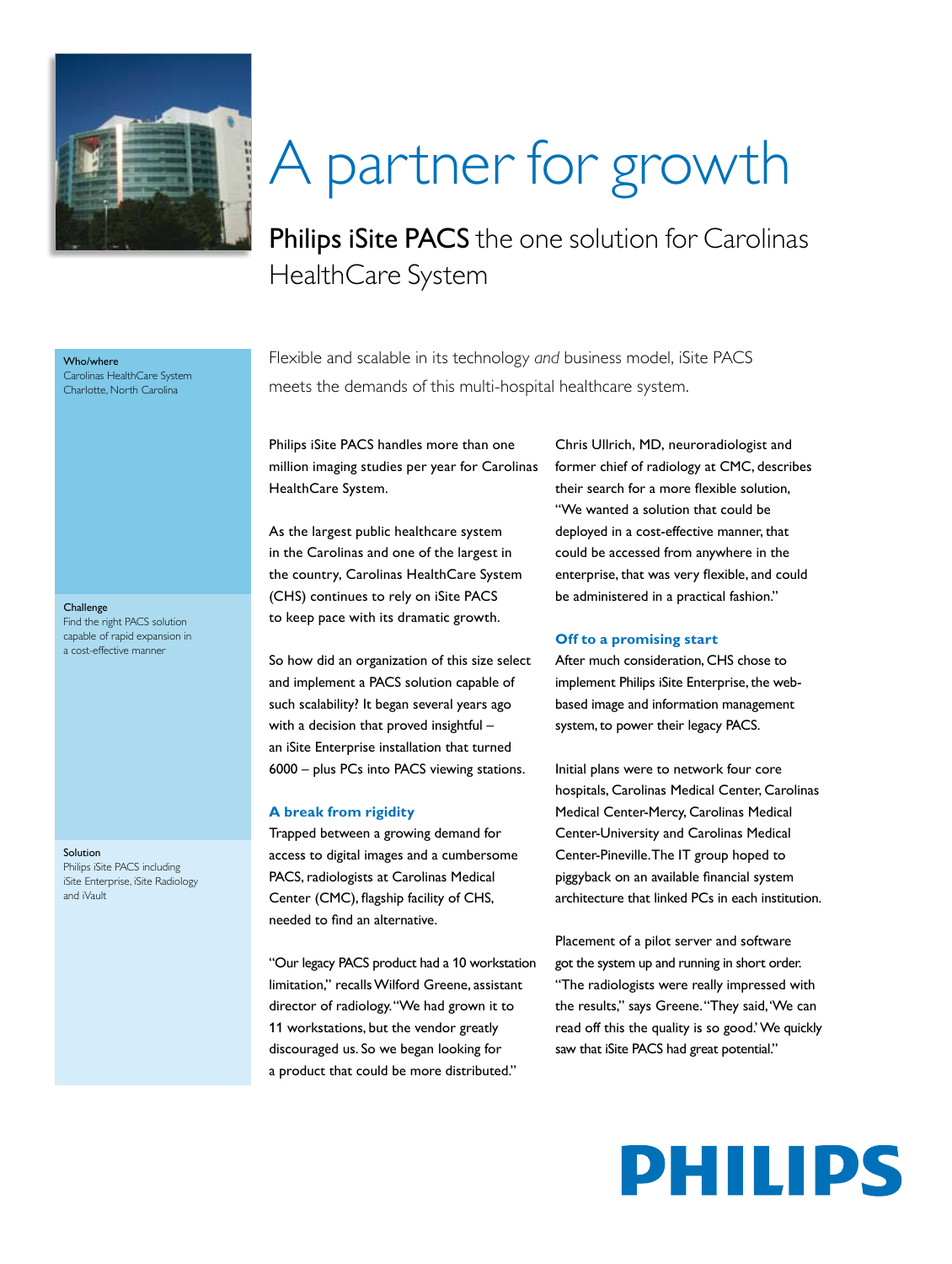

# A partner for growth

Philips iSite PACS the one solution for Carolinas HealthCare System

Flexible and scalable in its technology *and* business model, iSite PACS meets the demands of this multi-hospital healthcare system.

Philips iSite PACS handles more than one million imaging studies per year for Carolinas HealthCare System.

As the largest public healthcare system in the Carolinas and one of the largest in the country, Carolinas HealthCare System (CHS) continues to rely on iSite PACS to keep pace with its dramatic growth.

So how did an organization of this size select and implement a PACS solution capable of such scalability? It began several years ago with a decision that proved insightful – an iSite Enterprise installation that turned 6000 – plus PCs into PACS viewing stations.

#### **A break from rigidity**

Trapped between a growing demand for access to digital images and a cumbersome PACS, radiologists at Carolinas Medical Center (CMC), flagship facility of CHS, needed to find an alternative.

"Our legacy PACS product had a 10 workstation limitation," recalls Wilford Greene, assistant director of radiology. "We had grown it to 11 workstations, but the vendor greatly discouraged us. So we began looking for a product that could be more distributed."

Chris Ullrich, MD, neuroradiologist and former chief of radiology at CMC, describes their search for a more flexible solution, "We wanted a solution that could be deployed in a cost-effective manner, that could be accessed from anywhere in the enterprise, that was very flexible, and could be administered in a practical fashion."

#### **Off to a promising start**

After much consideration, CHS chose to implement Philips iSite Enterprise, the webbased image and information management system, to power their legacy PACS.

Initial plans were to network four core hospitals, Carolinas Medical Center, Carolinas Medical Center-Mercy, Carolinas Medical Center-University and Carolinas Medical Center-Pineville. The IT group hoped to piggyback on an available financial system architecture that linked PCs in each institution.

Placement of a pilot server and software got the system up and running in short order. "The radiologists were really impressed with the results," says Greene. "They said, 'We can read off this the quality is so good.' We quickly saw that iSite PACS had great potential."

## PHILIPS

#### **Challenge**

Who/where

Carolinas HealthCare System Charlotte, North Carolina

Find the right PACS solution capable of rapid expansion in a cost-effective manner

#### Solution

Philips iSite PACS including iSite Enterprise, iSite Radiology and iVault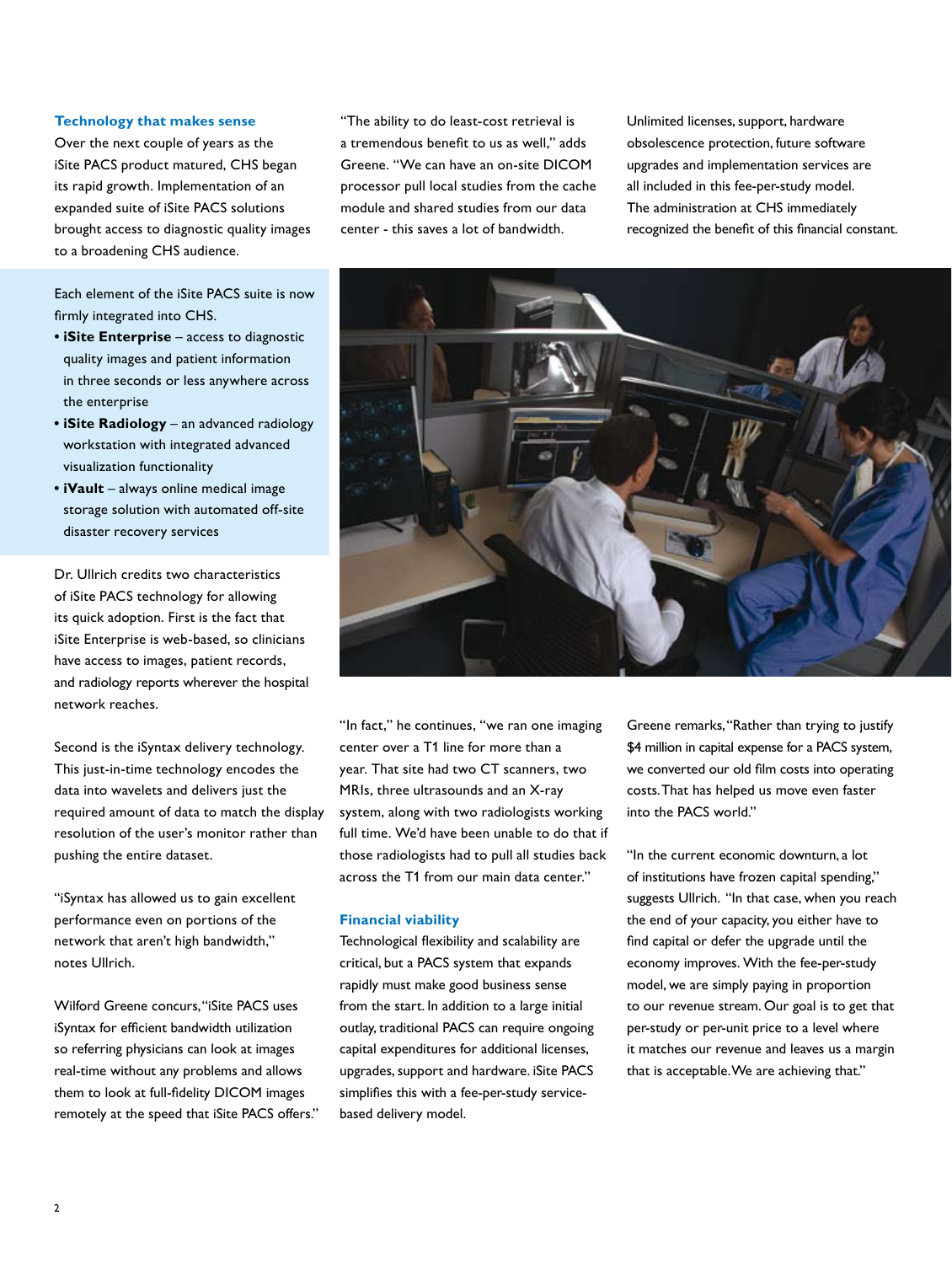#### **Technology that makes sense**

Over the next couple of years as the iSite PACS product matured, CHS began its rapid growth. Implementation of an expanded suite of iSite PACS solutions brought access to diagnostic quality images to a broadening CHS audience.

Each element of the iSite PACS suite is now firmly integrated into CHS.

- **iSite Enterprise** access to diagnostic quality images and patient information in three seconds or less anywhere across the enterprise
- **iSite Radiology** an advanced radiology workstation with integrated advanced visualization functionality
- **iVault** always online medical image storage solution with automated off-site disaster recovery services

Dr. Ullrich credits two characteristics of iSite PACS technology for allowing its quick adoption. First is the fact that iSite Enterprise is web-based, so clinicians have access to images, patient records, and radiology reports wherever the hospital network reaches.

Second is the iSyntax delivery technology. This just-in-time technology encodes the data into wavelets and delivers just the required amount of data to match the display resolution of the user's monitor rather than pushing the entire dataset.

"iSyntax has allowed us to gain excellent performance even on portions of the network that aren't high bandwidth," notes Ullrich.

Wilford Greene concurs, "iSite PACS uses iSyntax for efficient bandwidth utilization so referring physicians can look at images real-time without any problems and allows them to look at full-fidelity DICOM images remotely at the speed that iSite PACS offers."

"The ability to do least-cost retrieval is a tremendous benefit to us as well," adds Greene. "We can have an on-site DICOM processor pull local studies from the cache module and shared studies from our data center - this saves a lot of bandwidth.

Unlimited licenses, support, hardware obsolescence protection, future software upgrades and implementation services are all included in this fee-per-study model. The administration at CHS immediately recognized the benefit of this financial constant.



"In fact," he continues, "we ran one imaging center over a T1 line for more than a year. That site had two CT scanners, two MRIs, three ultrasounds and an X-ray system, along with two radiologists working full time. We'd have been unable to do that if those radiologists had to pull all studies back across the T1 from our main data center."

#### **Financial viability**

Technological flexibility and scalability are critical, but a PACS system that expands rapidly must make good business sense from the start. In addition to a large initial outlay, traditional PACS can require ongoing capital expenditures for additional licenses, upgrades, support and hardware. iSite PACS simplifies this with a fee-per-study servicebased delivery model.

Greene remarks, "Rather than trying to justify \$4 million in capital expense for a PACS system, we converted our old film costs into operating costs. That has helped us move even faster into the PACS world."

"In the current economic downturn, a lot of institutions have frozen capital spending," suggests Ullrich. "In that case, when you reach the end of your capacity, you either have to find capital or defer the upgrade until the economy improves. With the fee-per-study model, we are simply paying in proportion to our revenue stream. Our goal is to get that per-study or per-unit price to a level where it matches our revenue and leaves us a margin that is acceptable. We are achieving that."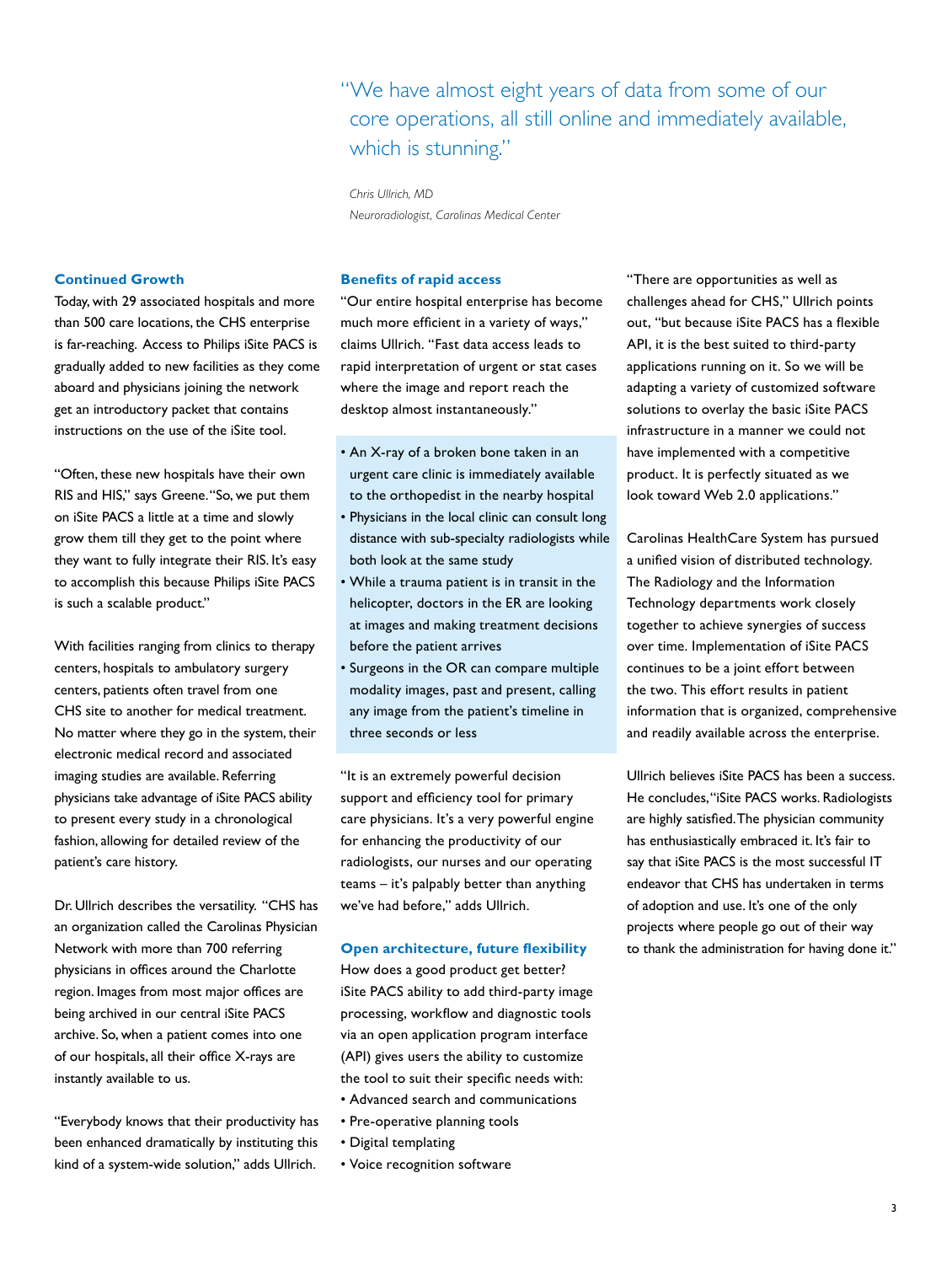"We have almost eight years of data from some of our core operations, all still online and immediately available, which is stunning."

*Chris Ullrich, MD Neuroradiologist, Carolinas Medical Center*

#### **Continued Growth**

Today, with 29 associated hospitals and more than 500 care locations, the CHS enterprise is far-reaching. Access to Philips iSite PACS is gradually added to new facilities as they come aboard and physicians joining the network get an introductory packet that contains instructions on the use of the iSite tool.

"Often, these new hospitals have their own RIS and HIS," says Greene. "So, we put them on iSite PACS a little at a time and slowly grow them till they get to the point where they want to fully integrate their RIS. It's easy to accomplish this because Philips iSite PACS is such a scalable product."

With facilities ranging from clinics to therapy centers, hospitals to ambulatory surgery centers, patients often travel from one CHS site to another for medical treatment. No matter where they go in the system, their electronic medical record and associated imaging studies are available. Referring physicians take advantage of iSite PACS ability to present every study in a chronological fashion, allowing for detailed review of the patient's care history.

Dr. Ullrich describes the versatility. "CHS has an organization called the Carolinas Physician Network with more than 700 referring physicians in offices around the Charlotte region. Images from most major offices are being archived in our central iSite PACS archive. So, when a patient comes into one of our hospitals, all their office X-rays are instantly available to us.

"Everybody knows that their productivity has been enhanced dramatically by instituting this kind of a system-wide solution," adds Ullrich.

#### **Benefits of rapid access**

"Our entire hospital enterprise has become much more efficient in a variety of ways," claims Ullrich. "Fast data access leads to rapid interpretation of urgent or stat cases where the image and report reach the desktop almost instantaneously."

- An X-ray of a broken bone taken in an urgent care clinic is immediately available to the orthopedist in the nearby hospital
- Physicians in the local clinic can consult long distance with sub-specialty radiologists while both look at the same study
- While a trauma patient is in transit in the helicopter, doctors in the ER are looking at images and making treatment decisions before the patient arrives
- Surgeons in the OR can compare multiple modality images, past and present, calling any image from the patient's timeline in three seconds or less

"It is an extremely powerful decision support and efficiency tool for primary care physicians. It's a very powerful engine for enhancing the productivity of our radiologists, our nurses and our operating teams – it's palpably better than anything we've had before," adds Ullrich.

#### **Open architecture, future flexibility**

How does a good product get better? iSite PACS ability to add third-party image processing, workflow and diagnostic tools via an open application program interface (API) gives users the ability to customize the tool to suit their specific needs with: • Advanced search and communications

- Pre-operative planning tools
- Digital templating
- Voice recognition software

"There are opportunities as well as challenges ahead for CHS," Ullrich points out, "but because iSite PACS has a flexible API, it is the best suited to third-party applications running on it. So we will be adapting a variety of customized software solutions to overlay the basic iSite PACS infrastructure in a manner we could not have implemented with a competitive product. It is perfectly situated as we look toward Web 2.0 applications."

Carolinas HealthCare System has pursued a unified vision of distributed technology. The Radiology and the Information Technology departments work closely together to achieve synergies of success over time. Implementation of iSite PACS continues to be a joint effort between the two. This effort results in patient information that is organized, comprehensive and readily available across the enterprise.

Ullrich believes iSite PACS has been a success. He concludes, "iSite PACS works. Radiologists are highly satisfied. The physician community has enthusiastically embraced it. It's fair to say that iSite PACS is the most successful IT endeavor that CHS has undertaken in terms of adoption and use. It's one of the only projects where people go out of their way to thank the administration for having done it."